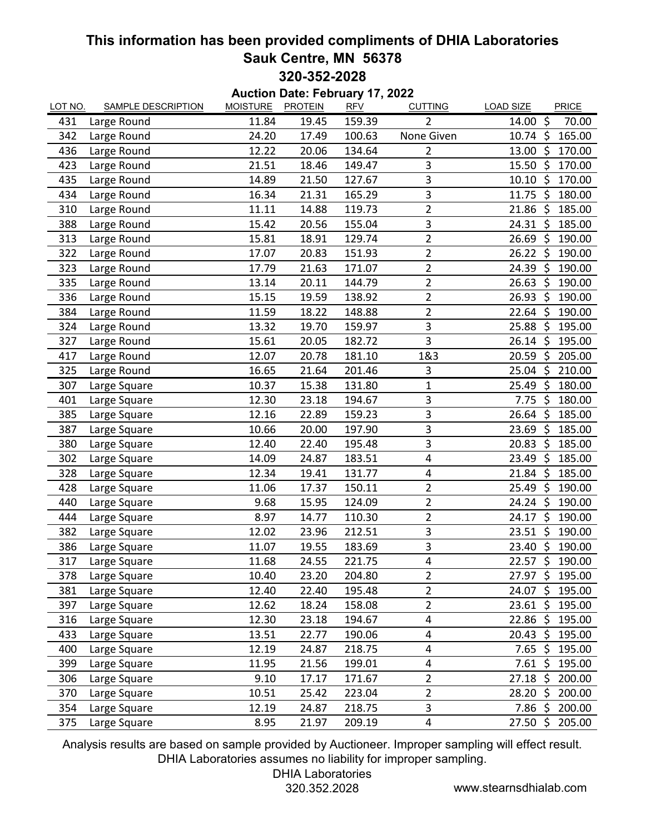## **This information has been provided compliments of DHIA Laboratories Sauk Centre, MN 56378 320-352-2028**

**Auction Date: February 17, 2022** LOT NO. SAMPLE DESCRIPTION MOISTURE PROTEIN RFV CUTTING LOAD SIZE PRICE 431 Large Round 11.84 19.45 159.39 2 14.00 \$ 70.00 342 Large Round 24.20 17.49 100.63 None Given 10.74 \$ 165.00 436 Large Round 12.22 20.06 134.64 2 13.00 \$ 170.00 423 Large Round 21.51 18.46 149.47 3 15.50 \$ 170.00 435 Large Round 14.89 21.50 127.67 3 10.10 \$ 170.00 434 Large Round 16.34 21.31 165.29 3 11.75 \$ 180.00 310 Large Round 11.11 14.88 119.73 2 21.86 \$ 185.00 388 Large Round 15.42 20.56 155.04 3 24.31 \$ 185.00 313 Large Round 15.81 18.91 129.74 2 26.69 \$ 190.00 322 Large Round 17.07 20.83 151.93 2 26.22 \$ 190.00 323 Large Round 17.79 21.63 171.07 2 24.39 \$ 190.00 335 Large Round 13.14 20.11 144.79 2 26.63 \$ 190.00 336 Large Round 15.15 19.59 138.92 2 26.93 \$ 190.00 384 Large Round 11.59 18.22 148.88 2 22.64 \$ 190.00 324 Large Round 13.32 19.70 159.97 3 25.88 \$ 195.00 327 Large Round 15.61 20.05 182.72 3 26.14 \$ 195.00 417 Large Round 12.07 20.78 181.10 1&3 20.59 \$ 205.00 325 Large Round 16.65 21.64 201.46 3 25.04 \$ 210.00 307 Large Square 10.37 15.38 131.80 1 25.49 \$ 180.00 401 Large Square 12.30 23.18 194.67 3 7.75 \$ 180.00 385 Large Square 12.16 22.89 159.23 3 26.64 \$ 185.00 387 Large Square 10.66 20.00 197.90 3 23.69 \$ 185.00 380 Large Square 12.40 22.40 195.48 3 20.83 \$ 185.00 302 Large Square 14.09 24.87 183.51 4 23.49 \$ 185.00 328 Large Square 12.34 19.41 131.77 4 21.84 \$ 185.00 428 Large Square **11.06** 17.37 150.11 2 25.49 \$ 190.00 440 Large Square 9.68 15.95 124.09 2 24.24 \$ 190.00 444 Large Square 8.97 14.77 110.30 2 24.17 \$ 190.00 382 Large Square 12.02 23.96 212.51 3 23.51 \$ 190.00 386 Large Square **11.07** 19.55 183.69 3 23.40 \$ 190.00 317 Large Square **11.68** 24.55 221.75 4 22.57 \$ 190.00 378 Large Square 10.40 23.20 204.80 2 27.97 \$ 195.00 381 Large Square 2012.40 22.40 195.48 2 24.07 \$ 195.00 397 Large Square 12.62 18.24 158.08 2 23.61 \$ 195.00 316 Large Square **12.30** 23.18 194.67 4 22.86 \$ 195.00 433 Large Square 13.51 22.77 190.06 4 20.43 \$ 195.00 400 Large Square 12.19 24.87 218.75 4 7.65 \$ 195.00 399 Large Square **11.95** 21.56 199.01 4 7.61 \$ 195.00 306 Large Square **9.10** 17.17 171.67 2 27.18 \$ 200.00 370 Large Square 10.51 25.42 223.04 2 28.20 \$ 200.00 354 Large Square 12.19 24.87 218.75 3 7.86 \$ 200.00 375 Large Square **8.95** 21.97 209.19 4 27.50 \$ 205.00

Analysis results are based on sample provided by Auctioneer. Improper sampling will effect result. DHIA Laboratories assumes no liability for improper sampling.

DHIA Laboratories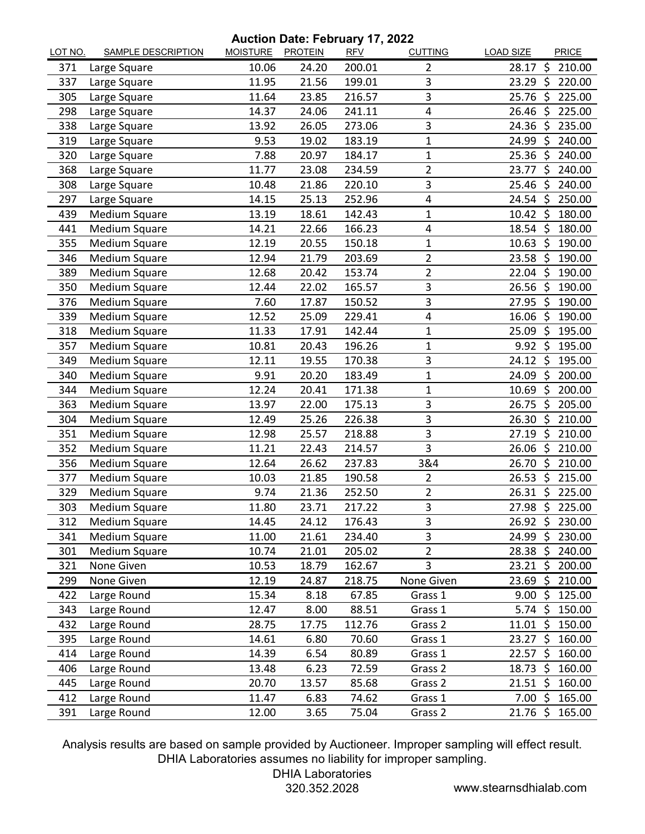## **Auction Date: February 17, 2022**

| 10.06<br>24.20<br>200.01<br>$28.17$ \$<br>210.00<br>371<br>Large Square<br>2<br>3<br>-\$<br>337<br>21.56<br>199.01<br>23.29<br>220.00<br>Large Square<br>11.95<br>3<br>216.57<br>25.76 \$<br>225.00<br>305<br>11.64<br>23.85<br>Large Square<br>24.06<br>241.11<br>4<br>298<br>Large Square<br>14.37<br>26.46<br>- \$<br>225.00<br>3<br>338<br>26.05<br>273.06<br>Large Square<br>13.92<br>24.36<br>-Ś<br>235.00<br>319<br>9.53<br>19.02<br>183.19<br>1<br>24.99 \$<br>240.00<br>Large Square<br>$\mathbf 1$<br>320<br>Large Square<br>7.88<br>20.97<br>184.17<br>25.36<br>-\$<br>240.00<br>$\overline{2}$<br>368<br>Large Square<br>11.77<br>23.08<br>234.59<br>23.77<br>-Ś<br>240.00<br>3<br>308<br>10.48<br>21.86<br>220.10<br>25.46 \$<br>240.00<br>Large Square<br>Large Square<br>25.13<br>252.96<br>4<br>$24.54$ \$<br>250.00<br>297<br>14.15<br>Medium Square<br>$10.42 \text{ }$<br>180.00<br>439<br>13.19<br>18.61<br>142.43<br>1<br>Medium Square<br>441<br>166.23<br>4<br>18.54 \$<br>180.00<br>14.21<br>22.66<br>Medium Square<br>12.19<br>150.18<br>355<br>20.55<br>1<br>10.63<br>-\$<br>190.00<br>$\overline{2}$<br>346<br>Medium Square<br>21.79<br>203.69<br>23.58<br>-\$<br>190.00<br>12.94<br>$\overline{2}$<br>190.00<br>389<br>Medium Square<br>12.68<br>20.42<br>153.74<br>$22.04 \text{ }$<br>165.57<br>3<br>Medium Square<br>22.02<br>$26.56$ \$<br>190.00<br>350<br>12.44<br>3<br>376<br><b>Medium Square</b><br>7.60<br>150.52<br>27.95<br>-\$<br>190.00<br>17.87<br>339<br>Medium Square<br>229.41<br>4<br>16.06 \$<br>190.00<br>12.52<br>25.09<br>$\zeta$<br>195.00<br>318<br><b>Medium Square</b><br>11.33<br>17.91<br>142.44<br>$\mathbf{1}$<br>25.09<br>357<br>Medium Square<br>196.26<br>$\mathbf 1$<br>$9.92$ \$<br>10.81<br>20.43<br>195.00<br>3<br>Medium Square<br>24.12 \$<br>349<br>12.11<br>19.55<br>170.38<br>195.00<br>Medium Square<br>9.91<br>20.20<br>183.49<br>$\mathbf{1}$<br>24.09 \$<br>200.00<br>340<br><b>Medium Square</b><br>12.24<br>171.38<br>$\mathbf 1$<br>\$<br>344<br>20.41<br>10.69<br>200.00<br>3<br>-\$<br>363<br>Medium Square<br>13.97<br>22.00<br>175.13<br>26.75<br>205.00<br>3<br>Medium Square<br>25.26<br>226.38<br>26.30<br>$\zeta$<br>210.00<br>304<br>12.49<br>3<br>Medium Square<br>218.88<br>\$<br>351<br>12.98<br>25.57<br>27.19<br>210.00<br>3<br>352<br>Medium Square<br>$\ddot{\zeta}$<br>11.21<br>214.57<br>26.06<br>210.00<br>22.43<br>3&4<br>26.62<br>237.83<br>$\dot{\mathsf{S}}$<br>210.00<br>356<br><b>Medium Square</b><br>12.64<br>26.70<br>21.85<br>190.58<br>\$<br>377<br>Medium Square<br>10.03<br>$\overline{2}$<br>26.53<br>215.00<br>252.50<br>$\overline{2}$<br>Š.<br>329<br>Medium Square<br>9.74<br>21.36<br>26.31<br>225.00<br>3<br>27.98 \$<br>303<br>Medium Square<br>23.71<br>217.22<br>225.00<br>11.80<br>312<br>Medium Square<br>14.45<br>24.12<br>176.43<br>3<br>26.92 \$ 230.00<br>3<br>Medium Square<br>234.40<br>341<br>11.00<br>21.61<br>24.99<br>\$<br>230.00<br>$\overline{2}$<br>301<br>Medium Square<br>10.74<br>21.01<br>205.02<br>$28.38 \; \zeta$<br>240.00<br>3<br>None Given<br>10.53<br>18.79<br>162.67<br>200.00<br>321<br>$23.21 \; \zeta$<br>None Given<br>12.19<br>218.75<br>\$<br>299<br>24.87<br>None Given<br>23.69<br>210.00<br>422<br>67.85<br>125.00<br>Large Round<br>15.34<br>8.18<br>9.00%<br>Grass 1<br>88.51<br>12.47<br>8.00<br>150.00<br>343<br>Large Round<br>Grass 1<br>5.74 \$<br>112.76<br>432<br>Large Round<br>28.75<br>Grass 2<br>$11.01 \; \text{S}$<br>150.00<br>17.75<br>395<br>6.80<br>70.60<br>23.27 \$<br>160.00<br>Large Round<br>14.61<br>Grass 1<br>Large Round<br>14.39<br>6.54<br>80.89<br>Grass 1<br>$22.57$ \$<br>160.00<br>414<br>Large Round<br>13.48<br>6.23<br>72.59<br>Grass 2<br>18.73<br>\$<br>160.00<br>406<br>445<br>20.70<br>85.68<br>$21.51 \; \text{S}$<br>160.00<br>Large Round<br>13.57<br>Grass 2<br>74.62<br>412<br>Large Round<br>11.47<br>6.83<br>Grass 1<br>7.00%<br>165.00 | LOT NO. | <b>SAMPLE DESCRIPTION</b> | MOISTURE PROTEIN |      | <b>RFV</b> | <b>CUTTING</b> | <b>LOAD SIZE</b>    | <b>PRICE</b> |
|--------------------------------------------------------------------------------------------------------------------------------------------------------------------------------------------------------------------------------------------------------------------------------------------------------------------------------------------------------------------------------------------------------------------------------------------------------------------------------------------------------------------------------------------------------------------------------------------------------------------------------------------------------------------------------------------------------------------------------------------------------------------------------------------------------------------------------------------------------------------------------------------------------------------------------------------------------------------------------------------------------------------------------------------------------------------------------------------------------------------------------------------------------------------------------------------------------------------------------------------------------------------------------------------------------------------------------------------------------------------------------------------------------------------------------------------------------------------------------------------------------------------------------------------------------------------------------------------------------------------------------------------------------------------------------------------------------------------------------------------------------------------------------------------------------------------------------------------------------------------------------------------------------------------------------------------------------------------------------------------------------------------------------------------------------------------------------------------------------------------------------------------------------------------------------------------------------------------------------------------------------------------------------------------------------------------------------------------------------------------------------------------------------------------------------------------------------------------------------------------------------------------------------------------------------------------------------------------------------------------------------------------------------------------------------------------------------------------------------------------------------------------------------------------------------------------------------------------------------------------------------------------------------------------------------------------------------------------------------------------------------------------------------------------------------------------------------------------------------------------------------------------------------------------------------------------------------------------------------------------------------------------------------------------------------------------------------------------------------------------------------------------------------------------------------------------------------------------------------------------------------------------------------------------------------------------------------------------------------------------------------------------------------------------------------------------------------------------------------------------------------------------------------------------------------------------------------------------------------------------------------------------------------------------------------------------------------|---------|---------------------------|------------------|------|------------|----------------|---------------------|--------------|
|                                                                                                                                                                                                                                                                                                                                                                                                                                                                                                                                                                                                                                                                                                                                                                                                                                                                                                                                                                                                                                                                                                                                                                                                                                                                                                                                                                                                                                                                                                                                                                                                                                                                                                                                                                                                                                                                                                                                                                                                                                                                                                                                                                                                                                                                                                                                                                                                                                                                                                                                                                                                                                                                                                                                                                                                                                                                                                                                                                                                                                                                                                                                                                                                                                                                                                                                                                                                                                                                                                                                                                                                                                                                                                                                                                                                                                                                                                                                                        |         |                           |                  |      |            |                |                     |              |
|                                                                                                                                                                                                                                                                                                                                                                                                                                                                                                                                                                                                                                                                                                                                                                                                                                                                                                                                                                                                                                                                                                                                                                                                                                                                                                                                                                                                                                                                                                                                                                                                                                                                                                                                                                                                                                                                                                                                                                                                                                                                                                                                                                                                                                                                                                                                                                                                                                                                                                                                                                                                                                                                                                                                                                                                                                                                                                                                                                                                                                                                                                                                                                                                                                                                                                                                                                                                                                                                                                                                                                                                                                                                                                                                                                                                                                                                                                                                                        |         |                           |                  |      |            |                |                     |              |
|                                                                                                                                                                                                                                                                                                                                                                                                                                                                                                                                                                                                                                                                                                                                                                                                                                                                                                                                                                                                                                                                                                                                                                                                                                                                                                                                                                                                                                                                                                                                                                                                                                                                                                                                                                                                                                                                                                                                                                                                                                                                                                                                                                                                                                                                                                                                                                                                                                                                                                                                                                                                                                                                                                                                                                                                                                                                                                                                                                                                                                                                                                                                                                                                                                                                                                                                                                                                                                                                                                                                                                                                                                                                                                                                                                                                                                                                                                                                                        |         |                           |                  |      |            |                |                     |              |
|                                                                                                                                                                                                                                                                                                                                                                                                                                                                                                                                                                                                                                                                                                                                                                                                                                                                                                                                                                                                                                                                                                                                                                                                                                                                                                                                                                                                                                                                                                                                                                                                                                                                                                                                                                                                                                                                                                                                                                                                                                                                                                                                                                                                                                                                                                                                                                                                                                                                                                                                                                                                                                                                                                                                                                                                                                                                                                                                                                                                                                                                                                                                                                                                                                                                                                                                                                                                                                                                                                                                                                                                                                                                                                                                                                                                                                                                                                                                                        |         |                           |                  |      |            |                |                     |              |
|                                                                                                                                                                                                                                                                                                                                                                                                                                                                                                                                                                                                                                                                                                                                                                                                                                                                                                                                                                                                                                                                                                                                                                                                                                                                                                                                                                                                                                                                                                                                                                                                                                                                                                                                                                                                                                                                                                                                                                                                                                                                                                                                                                                                                                                                                                                                                                                                                                                                                                                                                                                                                                                                                                                                                                                                                                                                                                                                                                                                                                                                                                                                                                                                                                                                                                                                                                                                                                                                                                                                                                                                                                                                                                                                                                                                                                                                                                                                                        |         |                           |                  |      |            |                |                     |              |
|                                                                                                                                                                                                                                                                                                                                                                                                                                                                                                                                                                                                                                                                                                                                                                                                                                                                                                                                                                                                                                                                                                                                                                                                                                                                                                                                                                                                                                                                                                                                                                                                                                                                                                                                                                                                                                                                                                                                                                                                                                                                                                                                                                                                                                                                                                                                                                                                                                                                                                                                                                                                                                                                                                                                                                                                                                                                                                                                                                                                                                                                                                                                                                                                                                                                                                                                                                                                                                                                                                                                                                                                                                                                                                                                                                                                                                                                                                                                                        |         |                           |                  |      |            |                |                     |              |
|                                                                                                                                                                                                                                                                                                                                                                                                                                                                                                                                                                                                                                                                                                                                                                                                                                                                                                                                                                                                                                                                                                                                                                                                                                                                                                                                                                                                                                                                                                                                                                                                                                                                                                                                                                                                                                                                                                                                                                                                                                                                                                                                                                                                                                                                                                                                                                                                                                                                                                                                                                                                                                                                                                                                                                                                                                                                                                                                                                                                                                                                                                                                                                                                                                                                                                                                                                                                                                                                                                                                                                                                                                                                                                                                                                                                                                                                                                                                                        |         |                           |                  |      |            |                |                     |              |
|                                                                                                                                                                                                                                                                                                                                                                                                                                                                                                                                                                                                                                                                                                                                                                                                                                                                                                                                                                                                                                                                                                                                                                                                                                                                                                                                                                                                                                                                                                                                                                                                                                                                                                                                                                                                                                                                                                                                                                                                                                                                                                                                                                                                                                                                                                                                                                                                                                                                                                                                                                                                                                                                                                                                                                                                                                                                                                                                                                                                                                                                                                                                                                                                                                                                                                                                                                                                                                                                                                                                                                                                                                                                                                                                                                                                                                                                                                                                                        |         |                           |                  |      |            |                |                     |              |
|                                                                                                                                                                                                                                                                                                                                                                                                                                                                                                                                                                                                                                                                                                                                                                                                                                                                                                                                                                                                                                                                                                                                                                                                                                                                                                                                                                                                                                                                                                                                                                                                                                                                                                                                                                                                                                                                                                                                                                                                                                                                                                                                                                                                                                                                                                                                                                                                                                                                                                                                                                                                                                                                                                                                                                                                                                                                                                                                                                                                                                                                                                                                                                                                                                                                                                                                                                                                                                                                                                                                                                                                                                                                                                                                                                                                                                                                                                                                                        |         |                           |                  |      |            |                |                     |              |
|                                                                                                                                                                                                                                                                                                                                                                                                                                                                                                                                                                                                                                                                                                                                                                                                                                                                                                                                                                                                                                                                                                                                                                                                                                                                                                                                                                                                                                                                                                                                                                                                                                                                                                                                                                                                                                                                                                                                                                                                                                                                                                                                                                                                                                                                                                                                                                                                                                                                                                                                                                                                                                                                                                                                                                                                                                                                                                                                                                                                                                                                                                                                                                                                                                                                                                                                                                                                                                                                                                                                                                                                                                                                                                                                                                                                                                                                                                                                                        |         |                           |                  |      |            |                |                     |              |
|                                                                                                                                                                                                                                                                                                                                                                                                                                                                                                                                                                                                                                                                                                                                                                                                                                                                                                                                                                                                                                                                                                                                                                                                                                                                                                                                                                                                                                                                                                                                                                                                                                                                                                                                                                                                                                                                                                                                                                                                                                                                                                                                                                                                                                                                                                                                                                                                                                                                                                                                                                                                                                                                                                                                                                                                                                                                                                                                                                                                                                                                                                                                                                                                                                                                                                                                                                                                                                                                                                                                                                                                                                                                                                                                                                                                                                                                                                                                                        |         |                           |                  |      |            |                |                     |              |
|                                                                                                                                                                                                                                                                                                                                                                                                                                                                                                                                                                                                                                                                                                                                                                                                                                                                                                                                                                                                                                                                                                                                                                                                                                                                                                                                                                                                                                                                                                                                                                                                                                                                                                                                                                                                                                                                                                                                                                                                                                                                                                                                                                                                                                                                                                                                                                                                                                                                                                                                                                                                                                                                                                                                                                                                                                                                                                                                                                                                                                                                                                                                                                                                                                                                                                                                                                                                                                                                                                                                                                                                                                                                                                                                                                                                                                                                                                                                                        |         |                           |                  |      |            |                |                     |              |
|                                                                                                                                                                                                                                                                                                                                                                                                                                                                                                                                                                                                                                                                                                                                                                                                                                                                                                                                                                                                                                                                                                                                                                                                                                                                                                                                                                                                                                                                                                                                                                                                                                                                                                                                                                                                                                                                                                                                                                                                                                                                                                                                                                                                                                                                                                                                                                                                                                                                                                                                                                                                                                                                                                                                                                                                                                                                                                                                                                                                                                                                                                                                                                                                                                                                                                                                                                                                                                                                                                                                                                                                                                                                                                                                                                                                                                                                                                                                                        |         |                           |                  |      |            |                |                     |              |
|                                                                                                                                                                                                                                                                                                                                                                                                                                                                                                                                                                                                                                                                                                                                                                                                                                                                                                                                                                                                                                                                                                                                                                                                                                                                                                                                                                                                                                                                                                                                                                                                                                                                                                                                                                                                                                                                                                                                                                                                                                                                                                                                                                                                                                                                                                                                                                                                                                                                                                                                                                                                                                                                                                                                                                                                                                                                                                                                                                                                                                                                                                                                                                                                                                                                                                                                                                                                                                                                                                                                                                                                                                                                                                                                                                                                                                                                                                                                                        |         |                           |                  |      |            |                |                     |              |
|                                                                                                                                                                                                                                                                                                                                                                                                                                                                                                                                                                                                                                                                                                                                                                                                                                                                                                                                                                                                                                                                                                                                                                                                                                                                                                                                                                                                                                                                                                                                                                                                                                                                                                                                                                                                                                                                                                                                                                                                                                                                                                                                                                                                                                                                                                                                                                                                                                                                                                                                                                                                                                                                                                                                                                                                                                                                                                                                                                                                                                                                                                                                                                                                                                                                                                                                                                                                                                                                                                                                                                                                                                                                                                                                                                                                                                                                                                                                                        |         |                           |                  |      |            |                |                     |              |
|                                                                                                                                                                                                                                                                                                                                                                                                                                                                                                                                                                                                                                                                                                                                                                                                                                                                                                                                                                                                                                                                                                                                                                                                                                                                                                                                                                                                                                                                                                                                                                                                                                                                                                                                                                                                                                                                                                                                                                                                                                                                                                                                                                                                                                                                                                                                                                                                                                                                                                                                                                                                                                                                                                                                                                                                                                                                                                                                                                                                                                                                                                                                                                                                                                                                                                                                                                                                                                                                                                                                                                                                                                                                                                                                                                                                                                                                                                                                                        |         |                           |                  |      |            |                |                     |              |
|                                                                                                                                                                                                                                                                                                                                                                                                                                                                                                                                                                                                                                                                                                                                                                                                                                                                                                                                                                                                                                                                                                                                                                                                                                                                                                                                                                                                                                                                                                                                                                                                                                                                                                                                                                                                                                                                                                                                                                                                                                                                                                                                                                                                                                                                                                                                                                                                                                                                                                                                                                                                                                                                                                                                                                                                                                                                                                                                                                                                                                                                                                                                                                                                                                                                                                                                                                                                                                                                                                                                                                                                                                                                                                                                                                                                                                                                                                                                                        |         |                           |                  |      |            |                |                     |              |
|                                                                                                                                                                                                                                                                                                                                                                                                                                                                                                                                                                                                                                                                                                                                                                                                                                                                                                                                                                                                                                                                                                                                                                                                                                                                                                                                                                                                                                                                                                                                                                                                                                                                                                                                                                                                                                                                                                                                                                                                                                                                                                                                                                                                                                                                                                                                                                                                                                                                                                                                                                                                                                                                                                                                                                                                                                                                                                                                                                                                                                                                                                                                                                                                                                                                                                                                                                                                                                                                                                                                                                                                                                                                                                                                                                                                                                                                                                                                                        |         |                           |                  |      |            |                |                     |              |
|                                                                                                                                                                                                                                                                                                                                                                                                                                                                                                                                                                                                                                                                                                                                                                                                                                                                                                                                                                                                                                                                                                                                                                                                                                                                                                                                                                                                                                                                                                                                                                                                                                                                                                                                                                                                                                                                                                                                                                                                                                                                                                                                                                                                                                                                                                                                                                                                                                                                                                                                                                                                                                                                                                                                                                                                                                                                                                                                                                                                                                                                                                                                                                                                                                                                                                                                                                                                                                                                                                                                                                                                                                                                                                                                                                                                                                                                                                                                                        |         |                           |                  |      |            |                |                     |              |
|                                                                                                                                                                                                                                                                                                                                                                                                                                                                                                                                                                                                                                                                                                                                                                                                                                                                                                                                                                                                                                                                                                                                                                                                                                                                                                                                                                                                                                                                                                                                                                                                                                                                                                                                                                                                                                                                                                                                                                                                                                                                                                                                                                                                                                                                                                                                                                                                                                                                                                                                                                                                                                                                                                                                                                                                                                                                                                                                                                                                                                                                                                                                                                                                                                                                                                                                                                                                                                                                                                                                                                                                                                                                                                                                                                                                                                                                                                                                                        |         |                           |                  |      |            |                |                     |              |
|                                                                                                                                                                                                                                                                                                                                                                                                                                                                                                                                                                                                                                                                                                                                                                                                                                                                                                                                                                                                                                                                                                                                                                                                                                                                                                                                                                                                                                                                                                                                                                                                                                                                                                                                                                                                                                                                                                                                                                                                                                                                                                                                                                                                                                                                                                                                                                                                                                                                                                                                                                                                                                                                                                                                                                                                                                                                                                                                                                                                                                                                                                                                                                                                                                                                                                                                                                                                                                                                                                                                                                                                                                                                                                                                                                                                                                                                                                                                                        |         |                           |                  |      |            |                |                     |              |
|                                                                                                                                                                                                                                                                                                                                                                                                                                                                                                                                                                                                                                                                                                                                                                                                                                                                                                                                                                                                                                                                                                                                                                                                                                                                                                                                                                                                                                                                                                                                                                                                                                                                                                                                                                                                                                                                                                                                                                                                                                                                                                                                                                                                                                                                                                                                                                                                                                                                                                                                                                                                                                                                                                                                                                                                                                                                                                                                                                                                                                                                                                                                                                                                                                                                                                                                                                                                                                                                                                                                                                                                                                                                                                                                                                                                                                                                                                                                                        |         |                           |                  |      |            |                |                     |              |
|                                                                                                                                                                                                                                                                                                                                                                                                                                                                                                                                                                                                                                                                                                                                                                                                                                                                                                                                                                                                                                                                                                                                                                                                                                                                                                                                                                                                                                                                                                                                                                                                                                                                                                                                                                                                                                                                                                                                                                                                                                                                                                                                                                                                                                                                                                                                                                                                                                                                                                                                                                                                                                                                                                                                                                                                                                                                                                                                                                                                                                                                                                                                                                                                                                                                                                                                                                                                                                                                                                                                                                                                                                                                                                                                                                                                                                                                                                                                                        |         |                           |                  |      |            |                |                     |              |
|                                                                                                                                                                                                                                                                                                                                                                                                                                                                                                                                                                                                                                                                                                                                                                                                                                                                                                                                                                                                                                                                                                                                                                                                                                                                                                                                                                                                                                                                                                                                                                                                                                                                                                                                                                                                                                                                                                                                                                                                                                                                                                                                                                                                                                                                                                                                                                                                                                                                                                                                                                                                                                                                                                                                                                                                                                                                                                                                                                                                                                                                                                                                                                                                                                                                                                                                                                                                                                                                                                                                                                                                                                                                                                                                                                                                                                                                                                                                                        |         |                           |                  |      |            |                |                     |              |
|                                                                                                                                                                                                                                                                                                                                                                                                                                                                                                                                                                                                                                                                                                                                                                                                                                                                                                                                                                                                                                                                                                                                                                                                                                                                                                                                                                                                                                                                                                                                                                                                                                                                                                                                                                                                                                                                                                                                                                                                                                                                                                                                                                                                                                                                                                                                                                                                                                                                                                                                                                                                                                                                                                                                                                                                                                                                                                                                                                                                                                                                                                                                                                                                                                                                                                                                                                                                                                                                                                                                                                                                                                                                                                                                                                                                                                                                                                                                                        |         |                           |                  |      |            |                |                     |              |
|                                                                                                                                                                                                                                                                                                                                                                                                                                                                                                                                                                                                                                                                                                                                                                                                                                                                                                                                                                                                                                                                                                                                                                                                                                                                                                                                                                                                                                                                                                                                                                                                                                                                                                                                                                                                                                                                                                                                                                                                                                                                                                                                                                                                                                                                                                                                                                                                                                                                                                                                                                                                                                                                                                                                                                                                                                                                                                                                                                                                                                                                                                                                                                                                                                                                                                                                                                                                                                                                                                                                                                                                                                                                                                                                                                                                                                                                                                                                                        |         |                           |                  |      |            |                |                     |              |
|                                                                                                                                                                                                                                                                                                                                                                                                                                                                                                                                                                                                                                                                                                                                                                                                                                                                                                                                                                                                                                                                                                                                                                                                                                                                                                                                                                                                                                                                                                                                                                                                                                                                                                                                                                                                                                                                                                                                                                                                                                                                                                                                                                                                                                                                                                                                                                                                                                                                                                                                                                                                                                                                                                                                                                                                                                                                                                                                                                                                                                                                                                                                                                                                                                                                                                                                                                                                                                                                                                                                                                                                                                                                                                                                                                                                                                                                                                                                                        |         |                           |                  |      |            |                |                     |              |
|                                                                                                                                                                                                                                                                                                                                                                                                                                                                                                                                                                                                                                                                                                                                                                                                                                                                                                                                                                                                                                                                                                                                                                                                                                                                                                                                                                                                                                                                                                                                                                                                                                                                                                                                                                                                                                                                                                                                                                                                                                                                                                                                                                                                                                                                                                                                                                                                                                                                                                                                                                                                                                                                                                                                                                                                                                                                                                                                                                                                                                                                                                                                                                                                                                                                                                                                                                                                                                                                                                                                                                                                                                                                                                                                                                                                                                                                                                                                                        |         |                           |                  |      |            |                |                     |              |
|                                                                                                                                                                                                                                                                                                                                                                                                                                                                                                                                                                                                                                                                                                                                                                                                                                                                                                                                                                                                                                                                                                                                                                                                                                                                                                                                                                                                                                                                                                                                                                                                                                                                                                                                                                                                                                                                                                                                                                                                                                                                                                                                                                                                                                                                                                                                                                                                                                                                                                                                                                                                                                                                                                                                                                                                                                                                                                                                                                                                                                                                                                                                                                                                                                                                                                                                                                                                                                                                                                                                                                                                                                                                                                                                                                                                                                                                                                                                                        |         |                           |                  |      |            |                |                     |              |
|                                                                                                                                                                                                                                                                                                                                                                                                                                                                                                                                                                                                                                                                                                                                                                                                                                                                                                                                                                                                                                                                                                                                                                                                                                                                                                                                                                                                                                                                                                                                                                                                                                                                                                                                                                                                                                                                                                                                                                                                                                                                                                                                                                                                                                                                                                                                                                                                                                                                                                                                                                                                                                                                                                                                                                                                                                                                                                                                                                                                                                                                                                                                                                                                                                                                                                                                                                                                                                                                                                                                                                                                                                                                                                                                                                                                                                                                                                                                                        |         |                           |                  |      |            |                |                     |              |
|                                                                                                                                                                                                                                                                                                                                                                                                                                                                                                                                                                                                                                                                                                                                                                                                                                                                                                                                                                                                                                                                                                                                                                                                                                                                                                                                                                                                                                                                                                                                                                                                                                                                                                                                                                                                                                                                                                                                                                                                                                                                                                                                                                                                                                                                                                                                                                                                                                                                                                                                                                                                                                                                                                                                                                                                                                                                                                                                                                                                                                                                                                                                                                                                                                                                                                                                                                                                                                                                                                                                                                                                                                                                                                                                                                                                                                                                                                                                                        |         |                           |                  |      |            |                |                     |              |
|                                                                                                                                                                                                                                                                                                                                                                                                                                                                                                                                                                                                                                                                                                                                                                                                                                                                                                                                                                                                                                                                                                                                                                                                                                                                                                                                                                                                                                                                                                                                                                                                                                                                                                                                                                                                                                                                                                                                                                                                                                                                                                                                                                                                                                                                                                                                                                                                                                                                                                                                                                                                                                                                                                                                                                                                                                                                                                                                                                                                                                                                                                                                                                                                                                                                                                                                                                                                                                                                                                                                                                                                                                                                                                                                                                                                                                                                                                                                                        |         |                           |                  |      |            |                |                     |              |
|                                                                                                                                                                                                                                                                                                                                                                                                                                                                                                                                                                                                                                                                                                                                                                                                                                                                                                                                                                                                                                                                                                                                                                                                                                                                                                                                                                                                                                                                                                                                                                                                                                                                                                                                                                                                                                                                                                                                                                                                                                                                                                                                                                                                                                                                                                                                                                                                                                                                                                                                                                                                                                                                                                                                                                                                                                                                                                                                                                                                                                                                                                                                                                                                                                                                                                                                                                                                                                                                                                                                                                                                                                                                                                                                                                                                                                                                                                                                                        |         |                           |                  |      |            |                |                     |              |
|                                                                                                                                                                                                                                                                                                                                                                                                                                                                                                                                                                                                                                                                                                                                                                                                                                                                                                                                                                                                                                                                                                                                                                                                                                                                                                                                                                                                                                                                                                                                                                                                                                                                                                                                                                                                                                                                                                                                                                                                                                                                                                                                                                                                                                                                                                                                                                                                                                                                                                                                                                                                                                                                                                                                                                                                                                                                                                                                                                                                                                                                                                                                                                                                                                                                                                                                                                                                                                                                                                                                                                                                                                                                                                                                                                                                                                                                                                                                                        |         |                           |                  |      |            |                |                     |              |
|                                                                                                                                                                                                                                                                                                                                                                                                                                                                                                                                                                                                                                                                                                                                                                                                                                                                                                                                                                                                                                                                                                                                                                                                                                                                                                                                                                                                                                                                                                                                                                                                                                                                                                                                                                                                                                                                                                                                                                                                                                                                                                                                                                                                                                                                                                                                                                                                                                                                                                                                                                                                                                                                                                                                                                                                                                                                                                                                                                                                                                                                                                                                                                                                                                                                                                                                                                                                                                                                                                                                                                                                                                                                                                                                                                                                                                                                                                                                                        |         |                           |                  |      |            |                |                     |              |
|                                                                                                                                                                                                                                                                                                                                                                                                                                                                                                                                                                                                                                                                                                                                                                                                                                                                                                                                                                                                                                                                                                                                                                                                                                                                                                                                                                                                                                                                                                                                                                                                                                                                                                                                                                                                                                                                                                                                                                                                                                                                                                                                                                                                                                                                                                                                                                                                                                                                                                                                                                                                                                                                                                                                                                                                                                                                                                                                                                                                                                                                                                                                                                                                                                                                                                                                                                                                                                                                                                                                                                                                                                                                                                                                                                                                                                                                                                                                                        |         |                           |                  |      |            |                |                     |              |
|                                                                                                                                                                                                                                                                                                                                                                                                                                                                                                                                                                                                                                                                                                                                                                                                                                                                                                                                                                                                                                                                                                                                                                                                                                                                                                                                                                                                                                                                                                                                                                                                                                                                                                                                                                                                                                                                                                                                                                                                                                                                                                                                                                                                                                                                                                                                                                                                                                                                                                                                                                                                                                                                                                                                                                                                                                                                                                                                                                                                                                                                                                                                                                                                                                                                                                                                                                                                                                                                                                                                                                                                                                                                                                                                                                                                                                                                                                                                                        |         |                           |                  |      |            |                |                     |              |
|                                                                                                                                                                                                                                                                                                                                                                                                                                                                                                                                                                                                                                                                                                                                                                                                                                                                                                                                                                                                                                                                                                                                                                                                                                                                                                                                                                                                                                                                                                                                                                                                                                                                                                                                                                                                                                                                                                                                                                                                                                                                                                                                                                                                                                                                                                                                                                                                                                                                                                                                                                                                                                                                                                                                                                                                                                                                                                                                                                                                                                                                                                                                                                                                                                                                                                                                                                                                                                                                                                                                                                                                                                                                                                                                                                                                                                                                                                                                                        |         |                           |                  |      |            |                |                     |              |
|                                                                                                                                                                                                                                                                                                                                                                                                                                                                                                                                                                                                                                                                                                                                                                                                                                                                                                                                                                                                                                                                                                                                                                                                                                                                                                                                                                                                                                                                                                                                                                                                                                                                                                                                                                                                                                                                                                                                                                                                                                                                                                                                                                                                                                                                                                                                                                                                                                                                                                                                                                                                                                                                                                                                                                                                                                                                                                                                                                                                                                                                                                                                                                                                                                                                                                                                                                                                                                                                                                                                                                                                                                                                                                                                                                                                                                                                                                                                                        |         |                           |                  |      |            |                |                     |              |
|                                                                                                                                                                                                                                                                                                                                                                                                                                                                                                                                                                                                                                                                                                                                                                                                                                                                                                                                                                                                                                                                                                                                                                                                                                                                                                                                                                                                                                                                                                                                                                                                                                                                                                                                                                                                                                                                                                                                                                                                                                                                                                                                                                                                                                                                                                                                                                                                                                                                                                                                                                                                                                                                                                                                                                                                                                                                                                                                                                                                                                                                                                                                                                                                                                                                                                                                                                                                                                                                                                                                                                                                                                                                                                                                                                                                                                                                                                                                                        |         |                           |                  |      |            |                |                     |              |
|                                                                                                                                                                                                                                                                                                                                                                                                                                                                                                                                                                                                                                                                                                                                                                                                                                                                                                                                                                                                                                                                                                                                                                                                                                                                                                                                                                                                                                                                                                                                                                                                                                                                                                                                                                                                                                                                                                                                                                                                                                                                                                                                                                                                                                                                                                                                                                                                                                                                                                                                                                                                                                                                                                                                                                                                                                                                                                                                                                                                                                                                                                                                                                                                                                                                                                                                                                                                                                                                                                                                                                                                                                                                                                                                                                                                                                                                                                                                                        |         |                           |                  |      |            |                |                     |              |
|                                                                                                                                                                                                                                                                                                                                                                                                                                                                                                                                                                                                                                                                                                                                                                                                                                                                                                                                                                                                                                                                                                                                                                                                                                                                                                                                                                                                                                                                                                                                                                                                                                                                                                                                                                                                                                                                                                                                                                                                                                                                                                                                                                                                                                                                                                                                                                                                                                                                                                                                                                                                                                                                                                                                                                                                                                                                                                                                                                                                                                                                                                                                                                                                                                                                                                                                                                                                                                                                                                                                                                                                                                                                                                                                                                                                                                                                                                                                                        |         |                           |                  |      |            |                |                     |              |
|                                                                                                                                                                                                                                                                                                                                                                                                                                                                                                                                                                                                                                                                                                                                                                                                                                                                                                                                                                                                                                                                                                                                                                                                                                                                                                                                                                                                                                                                                                                                                                                                                                                                                                                                                                                                                                                                                                                                                                                                                                                                                                                                                                                                                                                                                                                                                                                                                                                                                                                                                                                                                                                                                                                                                                                                                                                                                                                                                                                                                                                                                                                                                                                                                                                                                                                                                                                                                                                                                                                                                                                                                                                                                                                                                                                                                                                                                                                                                        |         |                           |                  |      |            |                |                     |              |
|                                                                                                                                                                                                                                                                                                                                                                                                                                                                                                                                                                                                                                                                                                                                                                                                                                                                                                                                                                                                                                                                                                                                                                                                                                                                                                                                                                                                                                                                                                                                                                                                                                                                                                                                                                                                                                                                                                                                                                                                                                                                                                                                                                                                                                                                                                                                                                                                                                                                                                                                                                                                                                                                                                                                                                                                                                                                                                                                                                                                                                                                                                                                                                                                                                                                                                                                                                                                                                                                                                                                                                                                                                                                                                                                                                                                                                                                                                                                                        |         |                           |                  |      |            |                |                     |              |
|                                                                                                                                                                                                                                                                                                                                                                                                                                                                                                                                                                                                                                                                                                                                                                                                                                                                                                                                                                                                                                                                                                                                                                                                                                                                                                                                                                                                                                                                                                                                                                                                                                                                                                                                                                                                                                                                                                                                                                                                                                                                                                                                                                                                                                                                                                                                                                                                                                                                                                                                                                                                                                                                                                                                                                                                                                                                                                                                                                                                                                                                                                                                                                                                                                                                                                                                                                                                                                                                                                                                                                                                                                                                                                                                                                                                                                                                                                                                                        | 391     | Large Round               | 12.00            | 3.65 | 75.04      | Grass 2        | $21.76 \; \text{S}$ | 165.00       |

Analysis results are based on sample provided by Auctioneer. Improper sampling will effect result. DHIA Laboratories assumes no liability for improper sampling.

DHIA Laboratories

320.352.2028 www.stearnsdhialab.com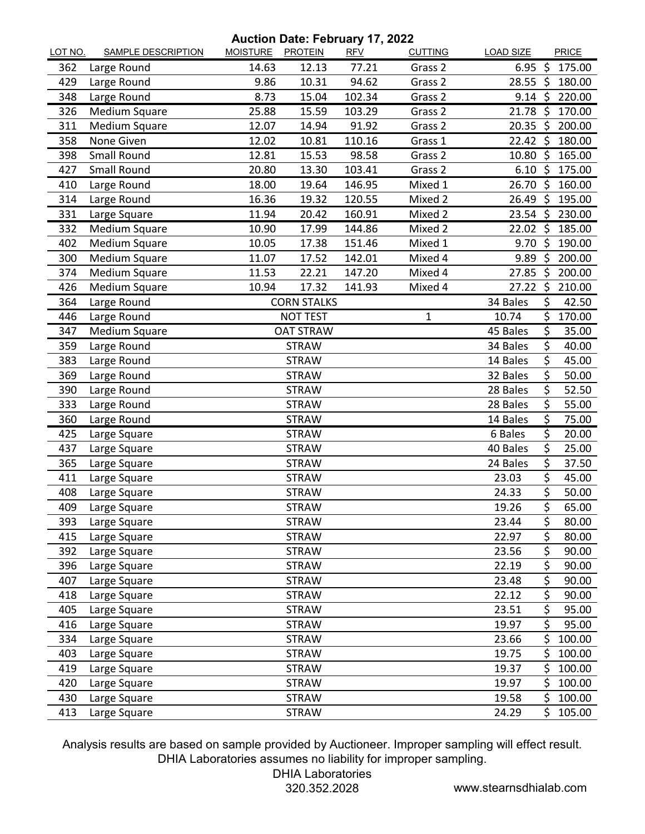**Auction Date: February 17, 2022**

| LOT NO. | <b>SAMPLE DESCRIPTION</b> | MOISTURE PROTEIN |                    | .<br><b>RFV</b> | <b>CUTTING</b> | <b>LOAD SIZE</b> |         | <b>PRICE</b> |
|---------|---------------------------|------------------|--------------------|-----------------|----------------|------------------|---------|--------------|
| 362     | Large Round               | 14.63            | 12.13              | 77.21           | Grass 2        | 6.95             | - \$    | 175.00       |
| 429     | Large Round               | 9.86             | 10.31              | 94.62           | Grass 2        | $28.55$ \$       |         | 180.00       |
| 348     | Large Round               | 8.73             | 15.04              | 102.34          | Grass 2        | $9.14 \text{ }$  |         | 220.00       |
| 326     | <b>Medium Square</b>      | 25.88            | 15.59              | 103.29          | Grass 2        | 21.78            | - \$    | 170.00       |
| 311     | Medium Square             | 12.07            | 14.94              | 91.92           | Grass 2        | 20.35 \$         |         | 200.00       |
| 358     | None Given                | 12.02            | 10.81              | 110.16          | Grass 1        | $22.42 \text{ }$ |         | 180.00       |
| 398     | <b>Small Round</b>        | 12.81            | 15.53              | 98.58           | Grass 2        | 10.80            | -\$     | 165.00       |
| 427     | <b>Small Round</b>        | 20.80            | 13.30              | 103.41          | Grass 2        | 6.10             | - \$    | 175.00       |
| 410     | Large Round               | 18.00            | 19.64              | 146.95          | Mixed 1        | 26.70 \$         |         | 160.00       |
| 314     | Large Round               | 16.36            | 19.32              | 120.55          | Mixed 2        | 26.49 \$         |         | 195.00       |
| 331     | Large Square              | 11.94            | 20.42              | 160.91          | Mixed 2        | $23.54 \; \zeta$ |         | 230.00       |
| 332     | <b>Medium Square</b>      | 10.90            | 17.99              | 144.86          | Mixed 2        | 22.02 \$         |         | 185.00       |
| 402     | Medium Square             | 10.05            | 17.38              | 151.46          | Mixed 1        | 9.70             | - \$    | 190.00       |
| 300     | Medium Square             | 11.07            | 17.52              | 142.01          | Mixed 4        | 9.89             | \$      | 200.00       |
| 374     | Medium Square             | 11.53            | 22.21              | 147.20          | Mixed 4        | 27.85 \$         |         | 200.00       |
| 426     | Medium Square             | 10.94            | 17.32              | 141.93          | Mixed 4        | 27.22 \$         |         | 210.00       |
| 364     | Large Round               |                  | <b>CORN STALKS</b> |                 |                | 34 Bales         | \$      | 42.50        |
| 446     | Large Round               |                  | <b>NOT TEST</b>    |                 | $\mathbf{1}$   | 10.74            | Ś.      | 170.00       |
| 347     | <b>Medium Square</b>      |                  | <b>OAT STRAW</b>   |                 |                | 45 Bales         | \$      | 35.00        |
| 359     | Large Round               |                  | <b>STRAW</b>       |                 |                | 34 Bales         | \$      | 40.00        |
| 383     | Large Round               |                  | <b>STRAW</b>       |                 |                | 14 Bales         | \$      | 45.00        |
| 369     | Large Round               |                  | <b>STRAW</b>       |                 |                | 32 Bales         | \$      | 50.00        |
| 390     | Large Round               |                  | <b>STRAW</b>       |                 |                | 28 Bales         | $\zeta$ | 52.50        |
| 333     | Large Round               |                  | <b>STRAW</b>       |                 |                | 28 Bales         | \$      | 55.00        |
| 360     | Large Round               |                  | <b>STRAW</b>       |                 |                | 14 Bales         | \$      | 75.00        |
| 425     | Large Square              |                  | <b>STRAW</b>       |                 |                | 6 Bales          | \$      | 20.00        |
| 437     | Large Square              |                  | <b>STRAW</b>       |                 |                | 40 Bales         | \$      | 25.00        |
| 365     | Large Square              |                  | <b>STRAW</b>       |                 |                | 24 Bales         | \$      | 37.50        |
| 411     | Large Square              |                  | <b>STRAW</b>       |                 |                | 23.03            | \$      | 45.00        |
| 408     | Large Square              |                  | <b>STRAW</b>       |                 |                | 24.33            | \$      | 50.00        |
| 409     | Large Square              |                  | <b>STRAW</b>       |                 |                | 19.26            | \$      | 65.00        |
| 393     | Large Square              |                  | <b>STRAW</b>       |                 |                | 23.44            | \$      | 80.00        |
| 415     | Large Square              |                  | <b>STRAW</b>       |                 |                | 22.97            | \$      | 80.00        |
| 392     | Large Square              |                  | <b>STRAW</b>       |                 |                | 23.56            | \$      | 90.00        |
| 396     | Large Square              |                  | <b>STRAW</b>       |                 |                | 22.19            | \$      | 90.00        |
| 407     | Large Square              |                  | <b>STRAW</b>       |                 |                | 23.48            | \$      | 90.00        |
| 418     | Large Square              |                  | <b>STRAW</b>       |                 |                | 22.12            | \$      | 90.00        |
| 405     | Large Square              |                  | <b>STRAW</b>       |                 |                | 23.51            | \$      | 95.00        |
| 416     | Large Square              |                  | <b>STRAW</b>       |                 |                | 19.97            | \$      | 95.00        |
| 334     | Large Square              |                  | <b>STRAW</b>       |                 |                | 23.66            | \$      | 100.00       |
| 403     | Large Square              |                  | <b>STRAW</b>       |                 |                | 19.75            | \$      | 100.00       |
| 419     | Large Square              |                  | <b>STRAW</b>       |                 |                | 19.37            | \$      | 100.00       |
| 420     | Large Square              |                  | <b>STRAW</b>       |                 |                | 19.97            | \$      | 100.00       |
| 430     | Large Square              |                  | <b>STRAW</b>       |                 |                | 19.58            | \$      | 100.00       |
| 413     | Large Square              |                  | <b>STRAW</b>       |                 |                | 24.29            | \$      | 105.00       |

Analysis results are based on sample provided by Auctioneer. Improper sampling will effect result. DHIA Laboratories assumes no liability for improper sampling.

DHIA Laboratories

320.352.2028 www.stearnsdhialab.com